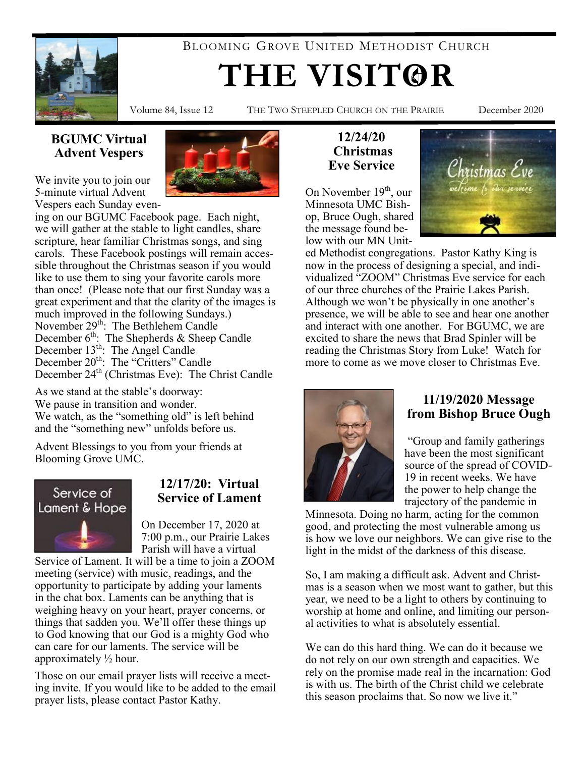

BLOOMING GROVE UNITED METHODIST CHURCH

# **THE VISITOR**

Volume 84, Issue 12 THE TWO STEEPLED CHURCH ON THE PRAIRIE December 2020

# **BGUMC Virtual Advent Vespers**



ing on our BGUMC Facebook page. Each night, we will gather at the stable to light candles, share scripture, hear familiar Christmas songs, and sing carols. These Facebook postings will remain accessible throughout the Christmas season if you would like to use them to sing your favorite carols more than once! (Please note that our first Sunday was a great experiment and that the clarity of the images is much improved in the following Sundays.) November 29<sup>th</sup>: The Bethlehem Candle December 6<sup>th</sup>: The Shepherds & Sheep Candle December 13<sup>th</sup>: The Angel Candle December 20<sup>th</sup>: The "Critters" Candle December 24<sup>th</sup> (Christmas Eve): The Christ Candle

As we stand at the stable's doorway: We pause in transition and wonder. We watch, as the "something old" is left behind and the "something new" unfolds before us.

Advent Blessings to you from your friends at Blooming Grove UMC.



# **12/17/20: Virtual Service of Lament**

On December 17, 2020 at 7:00 p.m., our Prairie Lakes Parish will have a virtual

Service of Lament. It will be a time to join a ZOOM meeting (service) with music, readings, and the opportunity to participate by adding your laments in the chat box. Laments can be anything that is weighing heavy on your heart, prayer concerns, or things that sadden you. We'll offer these things up to God knowing that our God is a mighty God who can care for our laments. The service will be approximately ½ hour.

Those on our email prayer lists will receive a meeting invite. If you would like to be added to the email prayer lists, please contact Pastor Kathy.

## **12/24/20 Christmas Eve Service**

On November  $19<sup>th</sup>$ , our Minnesota UMC Bishop, Bruce Ough, shared the message found below with our MN Unit-



ed Methodist congregations. Pastor Kathy King is now in the process of designing a special, and individualized "ZOOM" Christmas Eve service for each of our three churches of the Prairie Lakes Parish. Although we won't be physically in one another's presence, we will be able to see and hear one another and interact with one another. For BGUMC, we are excited to share the news that Brad Spinler will be reading the Christmas Story from Luke! Watch for more to come as we move closer to Christmas Eve.



## **11/19/2020 Message from Bishop Bruce Ough**

"Group and family gatherings have been the most significant source of the spread of COVID-19 in recent weeks. We have the power to help change the trajectory of the pandemic in

Minnesota. Doing no harm, acting for the common good, and protecting the most vulnerable among us is how we love our neighbors. We can give rise to the light in the midst of the darkness of this disease.

So, I am making a difficult ask. Advent and Christmas is a season when we most want to gather, but this year, we need to be a light to others by continuing to worship at home and online, and limiting our personal activities to what is absolutely essential.

We can do this hard thing. We can do it because we do not rely on our own strength and capacities. We rely on the promise made real in the incarnation: God is with us. The birth of the Christ child we celebrate this season proclaims that. So now we live it."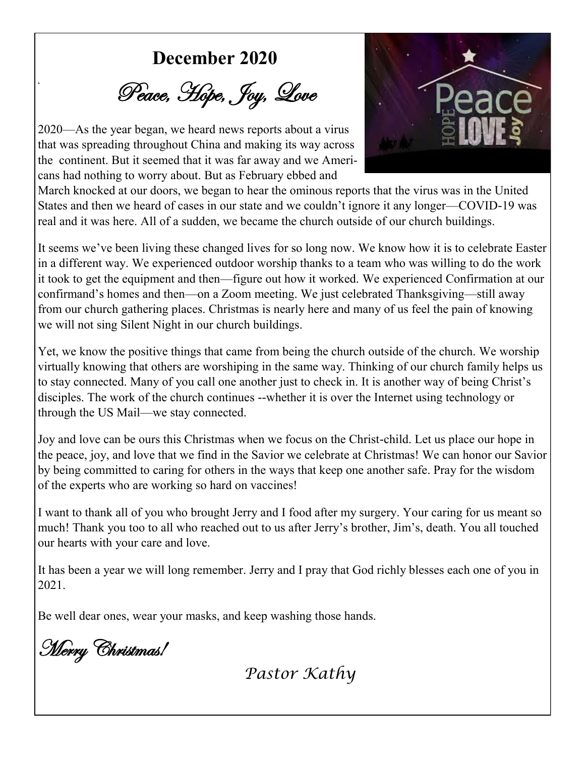**December 2020**

Peace, Hope, Joy, Love

2020—As the year began, we heard news reports about a virus that was spreading throughout China and making its way across the continent. But it seemed that it was far away and we Americans had nothing to worry about. But as February ebbed and

**'**



March knocked at our doors, we began to hear the ominous reports that the virus was in the United States and then we heard of cases in our state and we couldn't ignore it any longer—COVID-19 was real and it was here. All of a sudden, we became the church outside of our church buildings.

It seems we've been living these changed lives for so long now. We know how it is to celebrate Easter in a different way. We experienced outdoor worship thanks to a team who was willing to do the work it took to get the equipment and then—figure out how it worked. We experienced Confirmation at our confirmand's homes and then—on a Zoom meeting. We just celebrated Thanksgiving—still away from our church gathering places. Christmas is nearly here and many of us feel the pain of knowing we will not sing Silent Night in our church buildings.

Yet, we know the positive things that came from being the church outside of the church. We worship virtually knowing that others are worshiping in the same way. Thinking of our church family helps us to stay connected. Many of you call one another just to check in. It is another way of being Christ's disciples. The work of the church continues --whether it is over the Internet using technology or through the US Mail—we stay connected.

Joy and love can be ours this Christmas when we focus on the Christ-child. Let us place our hope in the peace, joy, and love that we find in the Savior we celebrate at Christmas! We can honor our Savior by being committed to caring for others in the ways that keep one another safe. Pray for the wisdom of the experts who are working so hard on vaccines!

I want to thank all of you who brought Jerry and I food after my surgery. Your caring for us meant so much! Thank you too to all who reached out to us after Jerry's brother, Jim's, death. You all touched our hearts with your care and love.

It has been a year we will long remember. Jerry and I pray that God richly blesses each one of you in 2021.

Be well dear ones, wear your masks, and keep washing those hands.

Merry Christmas!

*Pastor Kathy*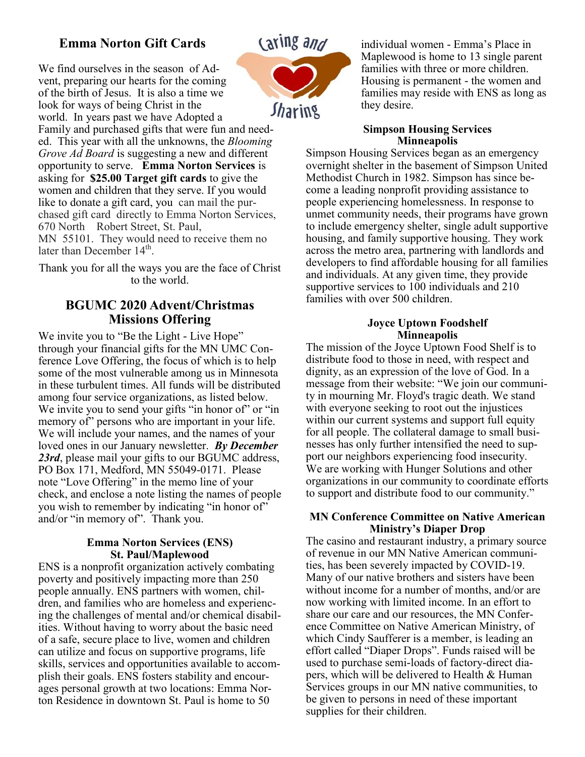# **Emma Norton Gift Cards**

We find ourselves in the season of Advent, preparing our hearts for the coming of the birth of Jesus. It is also a time we look for ways of being Christ in the world. In years past we have Adopted a

Family and purchased gifts that were fun and needed. This year with all the unknowns, the *Blooming Grove Ad Board* is suggesting a new and different opportunity to serve. **Emma Norton Services** is asking for **\$25.00 Target gift cards** to give the women and children that they serve. If you would like to donate a gift card, you can mail the purchased gift card directly to Emma Norton Services, 670 North Robert Street, St. Paul, MN 55101. They would need to receive them no

later than December 14<sup>th</sup>. Thank you for all the ways you are the face of Christ

to the world.

## **BGUMC 2020 Advent/Christmas Missions Offering**

We invite you to "Be the Light - Live Hope" through your financial gifts for the MN UMC Conference Love Offering, the focus of which is to help some of the most vulnerable among us in Minnesota in these turbulent times. All funds will be distributed among four service organizations, as listed below. We invite you to send your gifts "in honor of" or "in memory of persons who are important in your life. We will include your names, and the names of your loved ones in our January newsletter. *By December*  23rd, please mail your gifts to our BGUMC address, PO Box 171, Medford, MN 55049-0171. Please note "Love Offering" in the memo line of your check, and enclose a note listing the names of people you wish to remember by indicating "in honor of" and/or "in memory of". Thank you.

#### **Emma Norton Services (ENS) St. Paul/Maplewood**

ENS is a nonprofit organization actively combating poverty and positively impacting more than 250 people annually. ENS partners with women, children, and families who are homeless and experiencing the challenges of mental and/or chemical disabilities. Without having to worry about the basic need of a safe, secure place to live, women and children can utilize and focus on supportive programs, life skills, services and opportunities available to accomplish their goals. ENS fosters stability and encourages personal growth at two locations: Emma Norton Residence in downtown St. Paul is home to 50



individual women - Emma's Place in Maplewood is home to 13 single parent families with three or more children. Housing is permanent - the women and families may reside with ENS as long as they desire.

#### **Simpson Housing Services Minneapolis**

Simpson Housing Services began as an emergency overnight shelter in the basement of Simpson United Methodist Church in 1982. Simpson has since become a leading nonprofit providing assistance to people experiencing homelessness. In response to unmet community needs, their programs have grown to include emergency shelter, single adult supportive housing, and family supportive housing. They work across the metro area, partnering with landlords and developers to find affordable housing for all families and individuals. At any given time, they provide supportive services to 100 individuals and 210 families with over 500 children.

#### **Joyce Uptown Foodshelf Minneapolis**

The mission of the Joyce Uptown Food Shelf is to distribute food to those in need, with respect and dignity, as an expression of the love of God. In a message from their website: "We join our community in mourning Mr. Floyd's tragic death. We stand with everyone seeking to root out the injustices within our current systems and support full equity for all people. The collateral damage to small businesses has only further intensified the need to support our neighbors experiencing food insecurity. We are working with Hunger Solutions and other organizations in our community to coordinate efforts to support and distribute food to our community."

#### **MN Conference Committee on Native American Ministry's Diaper Drop**

The casino and restaurant industry, a primary source of revenue in our MN Native American communities, has been severely impacted by COVID-19. Many of our native brothers and sisters have been without income for a number of months, and/or are now working with limited income. In an effort to share our care and our resources, the MN Conference Committee on Native American Ministry, of which Cindy Saufferer is a member, is leading an effort called "Diaper Drops". Funds raised will be used to purchase semi-loads of factory-direct diapers, which will be delivered to Health & Human Services groups in our MN native communities, to be given to persons in need of these important supplies for their children.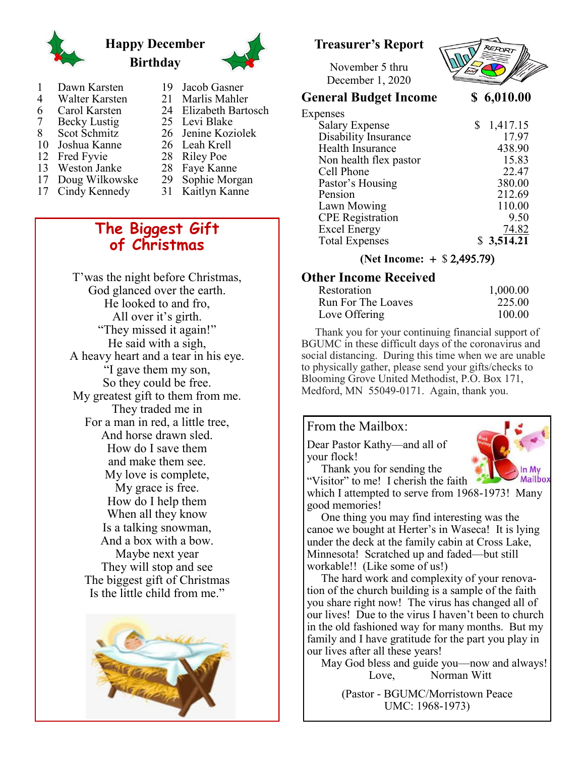

# **Happy December Birthday**



- 1 Dawn Karsten
- 4 Walter Karsten<br>6 Carol Karsten
- 6 Carol Karsten<br>7 Becky Lustig
- 7 Becky Lustig<br>8 Scot Schmitz Scot Schmitz
- 10 Joshua Kanne
- 12 Fred Fyvie
- 13 Weston Janke
- 17 Doug Wilkowske
- 
- 17 Cindy Kennedy
- 19 Jacob Gasner 21 Marlis Mahler 24 Elizabeth Bartosch 25 Levi Blake
- 26 Jenine Koziolek
- 26 Leah Krell
- 28 Riley Poe
- 28 Faye Kanne
- 29 Sophie Morgan
- 31 Kaitlyn Kanne

# **The Biggest Gift of Christmas**

T'was the night before Christmas, God glanced over the earth. He looked to and fro, All over it's girth. "They missed it again!" He said with a sigh, A heavy heart and a tear in his eye. "I gave them my son, So they could be free. My greatest gift to them from me. They traded me in For a man in red, a little tree, And horse drawn sled. How do I save them and make them see. My love is complete, My grace is free. How do I help them When all they know Is a talking snowman, And a box with a bow. Maybe next year They will stop and see The biggest gift of Christmas Is the little child from me."



# **Treasurer's Report**

November 5 thru December 1, 2020



## **General Budget Income \$ 6,010.00**

| Expenses                |            |
|-------------------------|------------|
| <b>Salary Expense</b>   | \$1,417.15 |
| Disability Insurance    | 17.97      |
| Health Insurance        | 438.90     |
| Non health flex pastor  | 15.83      |
| Cell Phone              | 22.47      |
| Pastor's Housing        | 380.00     |
| Pension                 | 212.69     |
| Lawn Mowing             | 110.00     |
| <b>CPE</b> Registration | 9.50       |
|                         |            |

## **(Net Income:**  $+$  \$ 2,495.79)

Excel Energy 74.82<br>Total Expenses \$3,514.21

# **Other Income Received**

| Restoration        | 1,000.00 |
|--------------------|----------|
| Run For The Loaves | 225.00   |
| Love Offering      | 100.00   |

 Thank you for your continuing financial support of BGUMC in these difficult days of the coronavirus and social distancing. During this time when we are unable to physically gather, please send your gifts/checks to Blooming Grove United Methodist, P.O. Box 171, Medford, MN 55049-0171. Again, thank you.

#### From the Mailbox:

**Total Expenses** 

Dear Pastor Kathy—and all of your flock! Thank you for sending the



"Visitor" to me! I cherish the faith which I attempted to serve from 1968-1973! Many good memories!

 One thing you may find interesting was the canoe we bought at Herter's in Waseca! It is lying under the deck at the family cabin at Cross Lake, Minnesota! Scratched up and faded—but still workable!! (Like some of us!)

 The hard work and complexity of your renovation of the church building is a sample of the faith you share right now! The virus has changed all of our lives! Due to the virus I haven't been to church in the old fashioned way for many months. But my family and I have gratitude for the part you play in our lives after all these years!

 May God bless and guide you—now and always! Love, Norman Witt

(Pastor - BGUMC/Morristown Peace UMC: 1968-1973)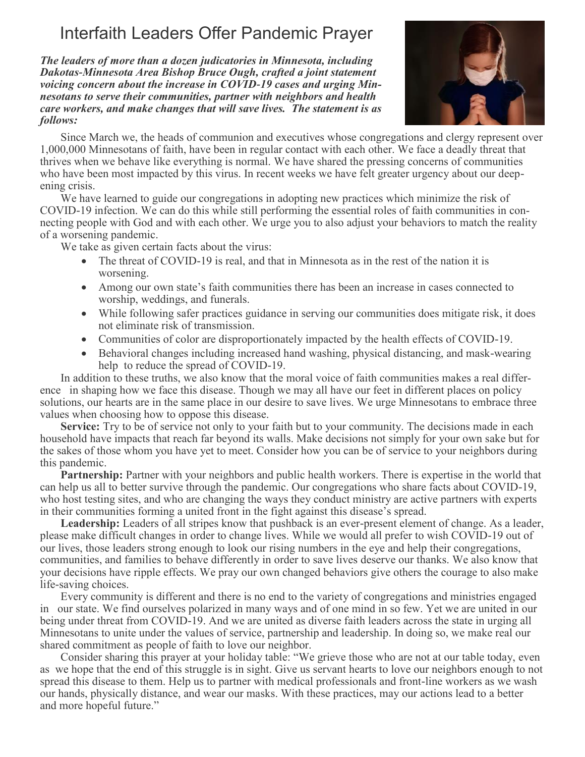# Interfaith Leaders Offer Pandemic Prayer

*The leaders of more than a dozen judicatories in Minnesota, including Dakotas-Minnesota Area Bishop Bruce Ough, crafted a joint statement voicing concern about the increase in COVID-19 cases and urging Minnesotans to serve their communities, partner with neighbors and health care workers, and make changes that will save lives. The statement is as follows:*



Since March we, the heads of communion and executives whose congregations and clergy represent over 1,000,000 Minnesotans of faith, have been in regular contact with each other. We face a deadly threat that thrives when we behave like everything is normal. We have shared the pressing concerns of communities who have been most impacted by this virus. In recent weeks we have felt greater urgency about our deepening crisis.

We have learned to guide our congregations in adopting new practices which minimize the risk of COVID-19 infection. We can do this while still performing the essential roles of faith communities in connecting people with God and with each other. We urge you to also adjust your behaviors to match the reality of a worsening pandemic.

We take as given certain facts about the virus:

- The threat of COVID-19 is real, and that in Minnesota as in the rest of the nation it is worsening.
- Among our own state's faith communities there has been an increase in cases connected to worship, weddings, and funerals.
- While following safer practices guidance in serving our communities does mitigate risk, it does not eliminate risk of transmission.
- Communities of color are disproportionately impacted by the health effects of COVID-19.
- Behavioral changes including increased hand washing, physical distancing, and mask-wearing help to reduce the spread of COVID-19.

In addition to these truths, we also know that the moral voice of faith communities makes a real difference in shaping how we face this disease. Though we may all have our feet in different places on policy solutions, our hearts are in the same place in our desire to save lives. We urge Minnesotans to embrace three values when choosing how to oppose this disease.

**Service:** Try to be of service not only to your faith but to your community. The decisions made in each household have impacts that reach far beyond its walls. Make decisions not simply for your own sake but for the sakes of those whom you have yet to meet. Consider how you can be of service to your neighbors during this pandemic.

**Partnership:** Partner with your neighbors and public health workers. There is expertise in the world that can help us all to better survive through the pandemic. Our congregations who share facts about COVID-19, who host testing sites, and who are changing the ways they conduct ministry are active partners with experts in their communities forming a united front in the fight against this disease's spread.

Leadership: Leaders of all stripes know that pushback is an ever-present element of change. As a leader, please make difficult changes in order to change lives. While we would all prefer to wish COVID-19 out of our lives, those leaders strong enough to look our rising numbers in the eye and help their congregations, communities, and families to behave differently in order to save lives deserve our thanks. We also know that your decisions have ripple effects. We pray our own changed behaviors give others the courage to also make life-saving choices.

Every community is different and there is no end to the variety of congregations and ministries engaged in our state. We find ourselves polarized in many ways and of one mind in so few. Yet we are united in our being under threat from COVID-19. And we are united as diverse faith leaders across the state in urging all Minnesotans to unite under the values of service, partnership and leadership. In doing so, we make real our shared commitment as people of faith to love our neighbor.

Consider sharing this prayer at your holiday table: "We grieve those who are not at our table today, even as we hope that the end of this struggle is in sight. Give us servant hearts to love our neighbors enough to not spread this disease to them. Help us to partner with medical professionals and front-line workers as we wash our hands, physically distance, and wear our masks. With these practices, may our actions lead to a better and more hopeful future."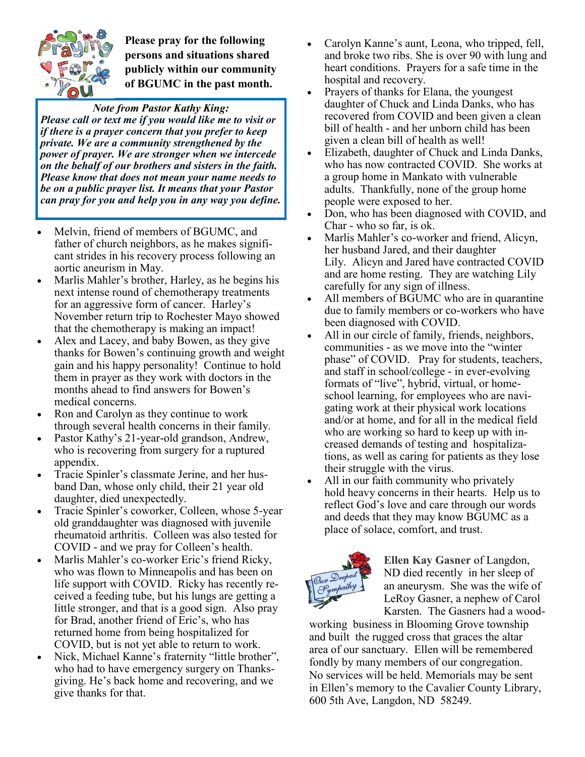

**Please pray for the following persons and situations shared publicly within our community of BGUMC in the past month.** 

*Note from Pastor Kathy King: Please call or text me if you would like me to visit or if there is a prayer concern that you prefer to keep private. We are a community strengthened by the power of prayer. We are stronger when we intercede on the behalf of our brothers and sisters in the faith. Please know that does not mean your name needs to be on a public prayer list. It means that your Pastor can pray for you and help you in any way you define.* 

- Melvin, friend of members of BGUMC, and father of church neighbors, as he makes significant strides in his recovery process following an aortic aneurism in May.
- Marlis Mahler's brother, Harley, as he begins his next intense round of chemotherapy treatments for an aggressive form of cancer. Harley's November return trip to Rochester Mayo showed that the chemotherapy is making an impact!
- Alex and Lacey, and baby Bowen, as they give thanks for Bowen's continuing growth and weight gain and his happy personality! Continue to hold them in prayer as they work with doctors in the months ahead to find answers for Bowen's medical concerns.
- Ron and Carolyn as they continue to work through several health concerns in their family.
- Pastor Kathy's 21-year-old grandson, Andrew, who is recovering from surgery for a ruptured appendix.
- Tracie Spinler's classmate Jerine, and her husband Dan, whose only child, their 21 year old daughter, died unexpectedly.
- Tracie Spinler's coworker, Colleen, whose 5-year old granddaughter was diagnosed with juvenile rheumatoid arthritis. Colleen was also tested for COVID - and we pray for Colleen's health.
- Marlis Mahler's co-worker Eric's friend Ricky, who was flown to Minneapolis and has been on life support with COVID. Ricky has recently received a feeding tube, but his lungs are getting a little stronger, and that is a good sign. Also pray for Brad, another friend of Eric's, who has returned home from being hospitalized for COVID, but is not yet able to return to work.
- Nick, Michael Kanne's fraternity "little brother", who had to have emergency surgery on Thanksgiving. He's back home and recovering, and we give thanks for that.
- Carolyn Kanne's aunt, Leona, who tripped, fell, and broke two ribs. She is over 90 with lung and heart conditions. Prayers for a safe time in the hospital and recovery.
- Prayers of thanks for Elana, the youngest daughter of Chuck and Linda Danks, who has recovered from COVID and been given a clean bill of health - and her unborn child has been given a clean bill of health as well!
- Elizabeth, daughter of Chuck and Linda Danks, who has now contracted COVID. She works at a group home in Mankato with vulnerable adults. Thankfully, none of the group home people were exposed to her.
- Don, who has been diagnosed with COVID, and Char - who so far, is ok.
- Marlis Mahler's co-worker and friend, Alicyn, her husband Jared, and their daughter Lily. Alicyn and Jared have contracted COVID and are home resting. They are watching Lily carefully for any sign of illness.
- All members of BGUMC who are in quarantine due to family members or co-workers who have been diagnosed with COVID.
- All in our circle of family, friends, neighbors, communities - as we move into the "winter phase" of COVID. Pray for students, teachers, and staff in school/college - in ever-evolving formats of "live", hybrid, virtual, or homeschool learning, for employees who are navigating work at their physical work locations and/or at home, and for all in the medical field who are working so hard to keep up with increased demands of testing and hospitalizations, as well as caring for patients as they lose their struggle with the virus.
- All in our faith community who privately hold heavy concerns in their hearts. Help us to reflect God's love and care through our words and deeds that they may know BGUMC as a place of solace, comfort, and trust.



**Ellen Kay Gasner** of Langdon, ND died recentlyin her sleep of an aneurysm. She was the wife of LeRoy Gasner, a nephew of Carol Karsten. The Gasners had a wood-

working business in Blooming Grove township and built the rugged cross that graces the altar area of our sanctuary. Ellen will be remembered fondly by many members of our congregation. No services will be held. Memorials may be sent in Ellen's memory to the Cavalier County Library, 600 5th Ave, Langdon, ND 58249.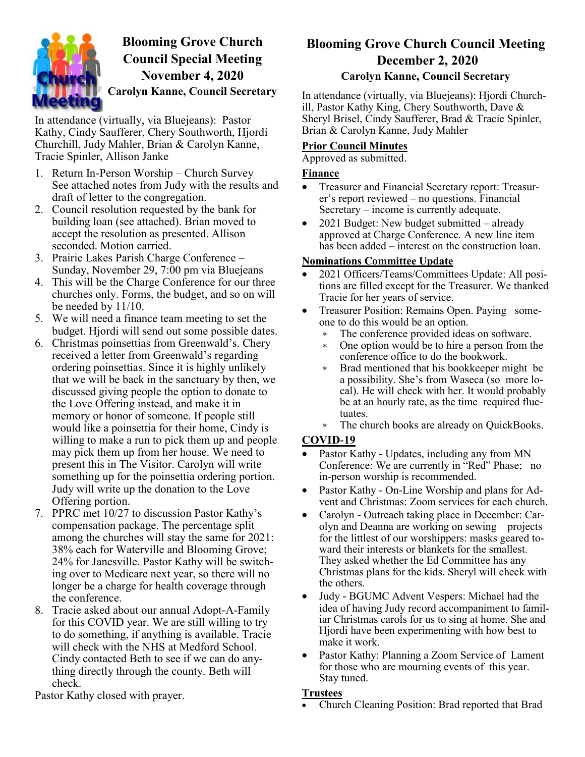

# **Blooming Grove Church Council Special Meeting November 4, 2020 Carolyn Kanne, Council Secretary**

In attendance (virtually, via Bluejeans): Pastor Kathy, Cindy Saufferer, Chery Southworth, Hjordi Churchill, Judy Mahler, Brian & Carolyn Kanne, Tracie Spinler, Allison Janke

- 1. Return In-Person Worship Church Survey See attached notes from Judy with the results and draft of letter to the congregation.
- 2. Council resolution requested by the bank for building loan (see attached). Brian moved to accept the resolution as presented. Allison seconded. Motion carried.
- 3. Prairie Lakes Parish Charge Conference Sunday, November 29, 7:00 pm via Bluejeans
- 4. This will be the Charge Conference for our three churches only. Forms, the budget, and so on will be needed by 11/10.
- 5. We will need a finance team meeting to set the budget. Hjordi will send out some possible dates.
- 6. Christmas poinsettias from Greenwald's. Chery received a letter from Greenwald's regarding ordering poinsettias. Since it is highly unlikely that we will be back in the sanctuary by then, we discussed giving people the option to donate to the Love Offering instead, and make it in memory or honor of someone. If people still would like a poinsettia for their home, Cindy is willing to make a run to pick them up and people may pick them up from her house. We need to present this in The Visitor. Carolyn will write something up for the poinsettia ordering portion. Judy will write up the donation to the Love Offering portion.
- 7. PPRC met 10/27 to discussion Pastor Kathy's compensation package. The percentage split among the churches will stay the same for 2021: 38% each for Waterville and Blooming Grove; 24% for Janesville. Pastor Kathy will be switching over to Medicare next year, so there will no longer be a charge for health coverage through the conference.
- 8. Tracie asked about our annual Adopt-A-Family for this COVID year. We are still willing to try to do something, if anything is available. Tracie will check with the NHS at Medford School. Cindy contacted Beth to see if we can do anything directly through the county. Beth will check.

Pastor Kathy closed with prayer.

# **Blooming Grove Church Council Meeting December 2, 2020**

### **Carolyn Kanne, Council Secretary**

In attendance (virtually, via Bluejeans): Hjordi Churchill, Pastor Kathy King, Chery Southworth, Dave & Sheryl Brisel, Cindy Saufferer, Brad & Tracie Spinler, Brian & Carolyn Kanne, Judy Mahler

### **Prior Council Minutes**

Approved as submitted.

#### **Finance**

- Treasurer and Financial Secretary report: Treasurer's report reviewed – no questions. Financial Secretary – income is currently adequate.
- 2021 Budget: New budget submitted already approved at Charge Conference. A new line item has been added – interest on the construction loan.

## **Nominations Committee Update**

- 2021 Officers/Teams/Committees Update: All positions are filled except for the Treasurer. We thanked Tracie for her years of service.
- Treasurer Position: Remains Open. Paying someone to do this would be an option.
	- The conference provided ideas on software.
	- One option would be to hire a person from the conference office to do the bookwork.
	- Brad mentioned that his bookkeeper might be a possibility. She's from Waseca (so more local). He will check with her. It would probably be at an hourly rate, as the time required fluctuates.
	- The church books are already on QuickBooks.

## **COVID-19**

- Pastor Kathy Updates, including any from MN Conference: We are currently in "Red" Phase; no in-person worship is recommended.
- Pastor Kathy On-Line Worship and plans for Advent and Christmas: Zoom services for each church.
- Carolyn Outreach taking place in December: Carolyn and Deanna are working on sewing projects for the littlest of our worshippers: masks geared toward their interests or blankets for the smallest. They asked whether the Ed Committee has any Christmas plans for the kids. Sheryl will check with the others.
- Judy BGUMC Advent Vespers: Michael had the idea of having Judy record accompaniment to familiar Christmas carols for us to sing at home. She and Hjordi have been experimenting with how best to make it work.
- Pastor Kathy: Planning a Zoom Service of Lament for those who are mourning events of this year. Stay tuned.

#### **Trustees**

Church Cleaning Position: Brad reported that Brad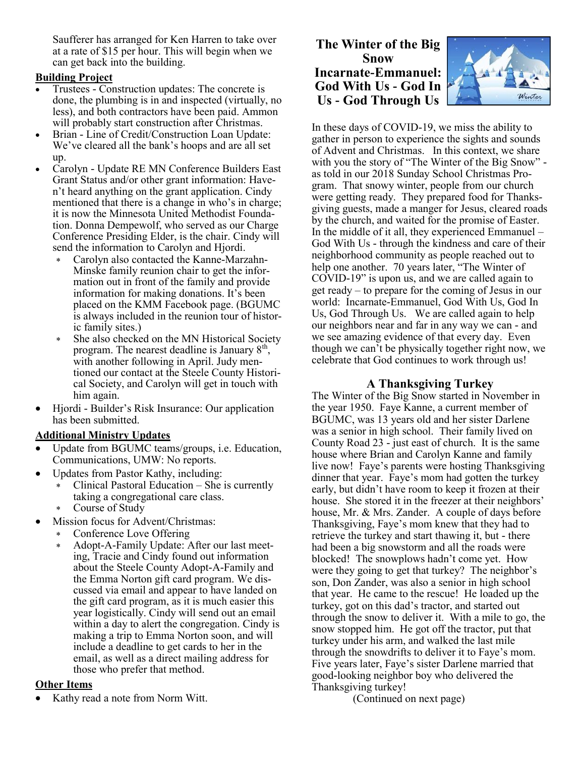Saufferer has arranged for Ken Harren to take over at a rate of \$15 per hour. This will begin when we can get back into the building.

#### **Building Project**

- Trustees Construction updates: The concrete is done, the plumbing is in and inspected (virtually, no less), and both contractors have been paid. Ammon will probably start construction after Christmas.
- Brian Line of Credit/Construction Loan Update: We've cleared all the bank's hoops and are all set up.
- Carolyn Update RE MN Conference Builders East Grant Status and/or other grant information: Haven't heard anything on the grant application. Cindy mentioned that there is a change in who's in charge; it is now the Minnesota United Methodist Foundation. Donna Dempewolf, who served as our Charge Conference Presiding Elder, is the chair. Cindy will send the information to Carolyn and Hjordi.
	- Carolyn also contacted the Kanne-Marzahn-Minske family reunion chair to get the information out in front of the family and provide information for making donations. It's been placed on the KMM Facebook page. (BGUMC is always included in the reunion tour of historic family sites.)
	- She also checked on the MN Historical Society program. The nearest deadline is January  $8<sup>th</sup>$ , with another following in April. Judy mentioned our contact at the Steele County Historical Society, and Carolyn will get in touch with him again.
- Hjordi Builder's Risk Insurance: Our application has been submitted.

#### **Additional Ministry Updates**

- Update from BGUMC teams/groups, i.e. Education, Communications, UMW: No reports.
- Updates from Pastor Kathy, including:
	- Clinical Pastoral Education She is currently taking a congregational care class.
	- Course of Study
- Mission focus for Advent/Christmas:
	- Conference Love Offering
	- Adopt-A-Family Update: After our last meeting, Tracie and Cindy found out information about the Steele County Adopt-A-Family and the Emma Norton gift card program. We discussed via email and appear to have landed on the gift card program, as it is much easier this year logistically. Cindy will send out an email within a day to alert the congregation. Cindy is making a trip to Emma Norton soon, and will include a deadline to get cards to her in the email, as well as a direct mailing address for those who prefer that method.

#### **Other Items**

Kathy read a note from Norm Witt.

### **The Winter of the Big Snow Incarnate-Emmanuel: God With Us - God In Us - God Through Us**



In these days of COVID-19, we miss the ability to gather in person to experience the sights and sounds of Advent and Christmas. In this context, we share with you the story of "The Winter of the Big Snow" as told in our 2018 Sunday School Christmas Program. That snowy winter, people from our church were getting ready. They prepared food for Thanksgiving guests, made a manger for Jesus, cleared roads by the church, and waited for the promise of Easter. In the middle of it all, they experienced Emmanuel – God With Us - through the kindness and care of their neighborhood community as people reached out to help one another. 70 years later, "The Winter of COVID-19" is upon us, and we are called again to get ready – to prepare for the coming of Jesus in our world: Incarnate-Emmanuel, God With Us, God In Us, God Through Us. We are called again to help our neighbors near and far in any way we can - and we see amazing evidence of that every day. Even though we can't be physically together right now, we celebrate that God continues to work through us!

#### **A Thanksgiving Turkey**

The Winter of the Big Snow started in November in the year 1950. Faye Kanne, a current member of BGUMC, was 13 years old and her sister Darlene was a senior in high school. Their family lived on County Road 23 - just east of church. It is the same house where Brian and Carolyn Kanne and family live now! Faye's parents were hosting Thanksgiving dinner that year. Faye's mom had gotten the turkey early, but didn't have room to keep it frozen at their house. She stored it in the freezer at their neighbors' house, Mr. & Mrs. Zander. A couple of days before Thanksgiving, Faye's mom knew that they had to retrieve the turkey and start thawing it, but - there had been a big snowstorm and all the roads were blocked! The snowplows hadn't come yet. How were they going to get that turkey? The neighbor's son, Don Zander, was also a senior in high school that year. He came to the rescue! He loaded up the turkey, got on this dad's tractor, and started out through the snow to deliver it. With a mile to go, the snow stopped him. He got off the tractor, put that turkey under his arm, and walked the last mile through the snowdrifts to deliver it to Faye's mom. Five years later, Faye's sister Darlene married that good-looking neighbor boy who delivered the Thanksgiving turkey!

(Continued on next page)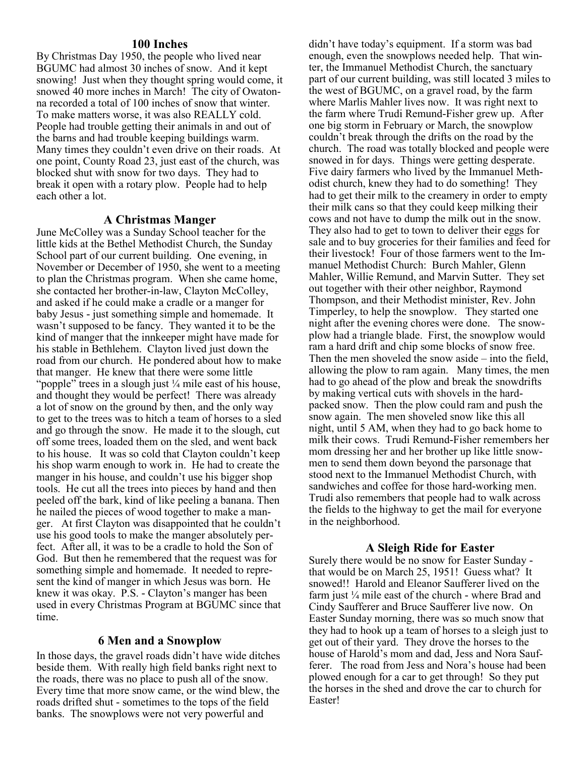#### **100 Inches**

By Christmas Day 1950, the people who lived near BGUMC had almost 30 inches of snow. And it kept snowing! Just when they thought spring would come, it snowed 40 more inches in March! The city of Owatonna recorded a total of 100 inches of snow that winter. To make matters worse, it was also REALLY cold. People had trouble getting their animals in and out of the barns and had trouble keeping buildings warm. Many times they couldn't even drive on their roads. At one point, County Road 23, just east of the church, was blocked shut with snow for two days. They had to break it open with a rotary plow. People had to help each other a lot.

#### **A Christmas Manger**

June McColley was a Sunday School teacher for the little kids at the Bethel Methodist Church, the Sunday School part of our current building. One evening, in November or December of 1950, she went to a meeting to plan the Christmas program. When she came home, she contacted her brother-in-law, Clayton McColley, and asked if he could make a cradle or a manger for baby Jesus - just something simple and homemade. It wasn't supposed to be fancy. They wanted it to be the kind of manger that the innkeeper might have made for his stable in Bethlehem. Clayton lived just down the road from our church. He pondered about how to make that manger. He knew that there were some little "popple" trees in a slough just ¼ mile east of his house, and thought they would be perfect! There was already a lot of snow on the ground by then, and the only way to get to the trees was to hitch a team of horses to a sled and go through the snow. He made it to the slough, cut off some trees, loaded them on the sled, and went back to his house. It was so cold that Clayton couldn't keep his shop warm enough to work in. He had to create the manger in his house, and couldn't use his bigger shop tools. He cut all the trees into pieces by hand and then peeled off the bark, kind of like peeling a banana. Then he nailed the pieces of wood together to make a manger. At first Clayton was disappointed that he couldn't use his good tools to make the manger absolutely perfect. After all, it was to be a cradle to hold the Son of God. But then he remembered that the request was for something simple and homemade. It needed to represent the kind of manger in which Jesus was born. He knew it was okay. P.S. - Clayton's manger has been used in every Christmas Program at BGUMC since that time.

#### **6 Men and a Snowplow**

In those days, the gravel roads didn't have wide ditches beside them. With really high field banks right next to the roads, there was no place to push all of the snow. Every time that more snow came, or the wind blew, the roads drifted shut - sometimes to the tops of the field banks. The snowplows were not very powerful and

didn't have today's equipment. If a storm was bad enough, even the snowplows needed help. That winter, the Immanuel Methodist Church, the sanctuary part of our current building, was still located 3 miles to the west of BGUMC, on a gravel road, by the farm where Marlis Mahler lives now. It was right next to the farm where Trudi Remund-Fisher grew up. After one big storm in February or March, the snowplow couldn't break through the drifts on the road by the church. The road was totally blocked and people were snowed in for days. Things were getting desperate. Five dairy farmers who lived by the Immanuel Methodist church, knew they had to do something! They had to get their milk to the creamery in order to empty their milk cans so that they could keep milking their cows and not have to dump the milk out in the snow. They also had to get to town to deliver their eggs for sale and to buy groceries for their families and feed for their livestock! Four of those farmers went to the Immanuel Methodist Church: Burch Mahler, Glenn Mahler, Willie Remund, and Marvin Sutter. They set out together with their other neighbor, Raymond Thompson, and their Methodist minister, Rev. John Timperley, to help the snowplow. They started one night after the evening chores were done. The snowplow had a triangle blade. First, the snowplow would ram a hard drift and chip some blocks of snow free. Then the men shoveled the snow aside – into the field, allowing the plow to ram again. Many times, the men had to go ahead of the plow and break the snowdrifts by making vertical cuts with shovels in the hardpacked snow. Then the plow could ram and push the snow again. The men shoveled snow like this all night, until 5 AM, when they had to go back home to milk their cows. Trudi Remund-Fisher remembers her mom dressing her and her brother up like little snowmen to send them down beyond the parsonage that stood next to the Immanuel Methodist Church, with sandwiches and coffee for those hard-working men. Trudi also remembers that people had to walk across the fields to the highway to get the mail for everyone in the neighborhood.

#### **A Sleigh Ride for Easter**

Surely there would be no snow for Easter Sunday that would be on March 25, 1951! Guess what? It snowed!! Harold and Eleanor Saufferer lived on the farm just ¼ mile east of the church - where Brad and Cindy Saufferer and Bruce Saufferer live now. On Easter Sunday morning, there was so much snow that they had to hook up a team of horses to a sleigh just to get out of their yard. They drove the horses to the house of Harold's mom and dad, Jess and Nora Saufferer. The road from Jess and Nora's house had been plowed enough for a car to get through! So they put the horses in the shed and drove the car to church for Easter!